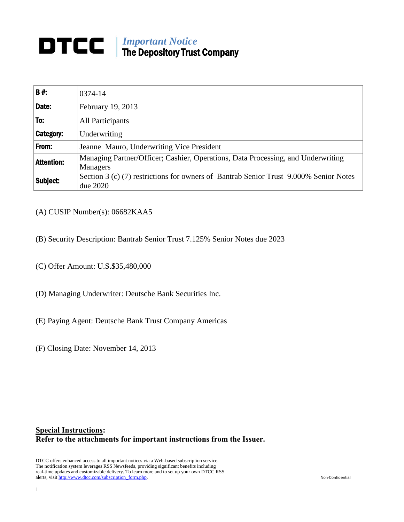## *Important Notice* The Depository Trust Company

| <b>B#:</b>        | 0374-14                                                                                             |
|-------------------|-----------------------------------------------------------------------------------------------------|
| Date:             | February 19, 2013                                                                                   |
| To:               | All Participants                                                                                    |
| <b>Category:</b>  | Underwriting                                                                                        |
| From:             | Jeanne Mauro, Underwriting Vice President                                                           |
| <b>Attention:</b> | Managing Partner/Officer; Cashier, Operations, Data Processing, and Underwriting<br><b>Managers</b> |
| Subject:          | Section 3 (c) (7) restrictions for owners of Bantrab Senior Trust 9.000% Senior Notes<br>due 2020   |

- (A) CUSIP Number(s): 06682KAA5
- (B) Security Description: Bantrab Senior Trust 7.125% Senior Notes due 2023
- (C) Offer Amount: U.S.\$35,480,000
- (D) Managing Underwriter: Deutsche Bank Securities Inc.
- (E) Paying Agent: Deutsche Bank Trust Company Americas
- (F) Closing Date: November 14, 2013

## **Special Instructions: Refer to the attachments for important instructions from the Issuer.**

DTCC offers enhanced access to all important notices via a Web-based subscription service. The notification system leverages RSS Newsfeeds, providing significant benefits including real-time updates and customizable delivery. To learn more and to set up your own DTCC RSS alerts, visit http://www.dtcc.com/subscription\_form.php. Non-Confidential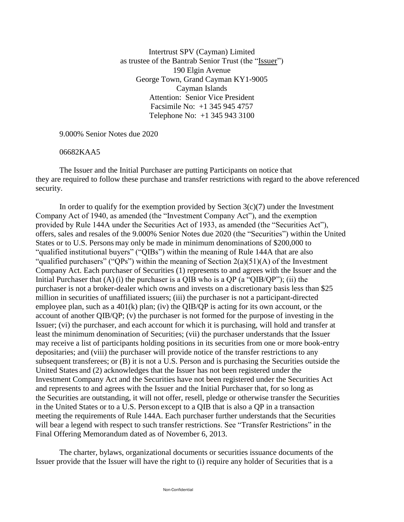Intertrust SPV (Cayman) Limited as trustee of the Bantrab Senior Trust (the "Issuer") 190 Elgin Avenue George Town, Grand Cayman KY1-9005 Cayman Islands Attention: Senior Vice President Facsimile No: +1 345 945 4757 Telephone No: +1 345 943 3100

9.000% Senior Notes due 2020

06682KAA5

The Issuer and the Initial Purchaser are putting Participants on notice that they are required to follow these purchase and transfer restrictions with regard to the above referenced security.

In order to qualify for the exemption provided by Section  $3(c)(7)$  under the Investment Company Act of 1940, as amended (the "Investment Company Act"), and the exemption provided by Rule 144A under the Securities Act of 1933, as amended (the "Securities Act"), offers, sales and resales of the 9.000% Senior Notes due 2020 (the "Securities") within the United States or to U.S. Persons may only be made in minimum denominations of \$200,000 to "qualified institutional buyers" ("QIBs") within the meaning of Rule 144A that are also "qualified purchasers" ("QPs") within the meaning of Section  $2(a)(51)(A)$  of the Investment Company Act. Each purchaser of Securities (1) represents to and agrees with the Issuer and the Initial Purchaser that  $(A)$  (i) the purchaser is a OIB who is a OP (a "OIB/OP"); (ii) the purchaser is not a broker-dealer which owns and invests on a discretionary basis less than \$25 million in securities of unaffiliated issuers; (iii) the purchaser is not a participant-directed employee plan, such as a 401(k) plan; (iv) the QIB/QP is acting for its own account, or the account of another QIB/QP; (v) the purchaser is not formed for the purpose of investing in the Issuer; (vi) the purchaser, and each account for which it is purchasing, will hold and transfer at least the minimum denomination of Securities; (vii) the purchaser understands that the Issuer may receive a list of participants holding positions in its securities from one or more book-entry depositaries; and (viii) the purchaser will provide notice of the transfer restrictions to any subsequent transferees; or (B) it is not a U.S. Person and is purchasing the Securities outside the United States and (2) acknowledges that the Issuer has not been registered under the Investment Company Act and the Securities have not been registered under the Securities Act and represents to and agrees with the Issuer and the Initial Purchaser that, for so long as the Securities are outstanding, it will not offer, resell, pledge or otherwise transfer the Securities in the United States or to a U.S. Person except to a QIB that is also a QP in a transaction meeting the requirements of Rule 144A. Each purchaser further understands that the Securities will bear a legend with respect to such transfer restrictions. See "Transfer Restrictions" in the Final Offering Memorandum dated as of November 6, 2013.

The charter, bylaws, organizational documents or securities issuance documents of the Issuer provide that the Issuer will have the right to (i) require any holder of Securities that is a